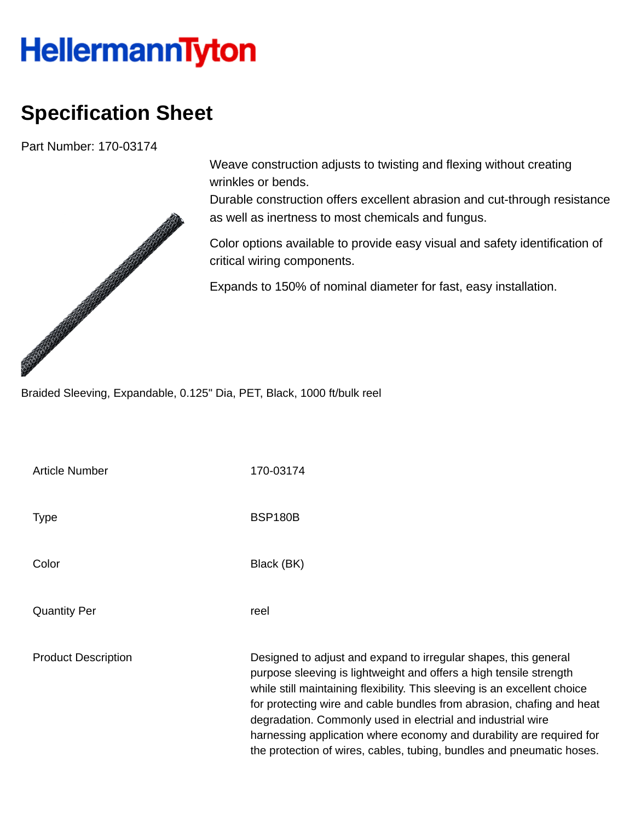## **HellermannTyton**

## **Specification Sheet**

Part Number: 170-03174



Weave construction adjusts to twisting and flexing without creating wrinkles or bends.

Durable construction offers excellent abrasion and cut-through resistance as well as inertness to most chemicals and fungus.

Color options available to provide easy visual and safety identification of critical wiring components.

Expands to 150% of nominal diameter for fast, easy installation.

| Article Number             | 170-03174                                                                                                                                                                                                                                                                                                                                                                                                                                                                                                   |
|----------------------------|-------------------------------------------------------------------------------------------------------------------------------------------------------------------------------------------------------------------------------------------------------------------------------------------------------------------------------------------------------------------------------------------------------------------------------------------------------------------------------------------------------------|
| <b>Type</b>                | <b>BSP180B</b>                                                                                                                                                                                                                                                                                                                                                                                                                                                                                              |
| Color                      | Black (BK)                                                                                                                                                                                                                                                                                                                                                                                                                                                                                                  |
| <b>Quantity Per</b>        | reel                                                                                                                                                                                                                                                                                                                                                                                                                                                                                                        |
| <b>Product Description</b> | Designed to adjust and expand to irregular shapes, this general<br>purpose sleeving is lightweight and offers a high tensile strength<br>while still maintaining flexibility. This sleeving is an excellent choice<br>for protecting wire and cable bundles from abrasion, chafing and heat<br>degradation. Commonly used in electrial and industrial wire<br>harnessing application where economy and durability are required for<br>the protection of wires, cables, tubing, bundles and pneumatic hoses. |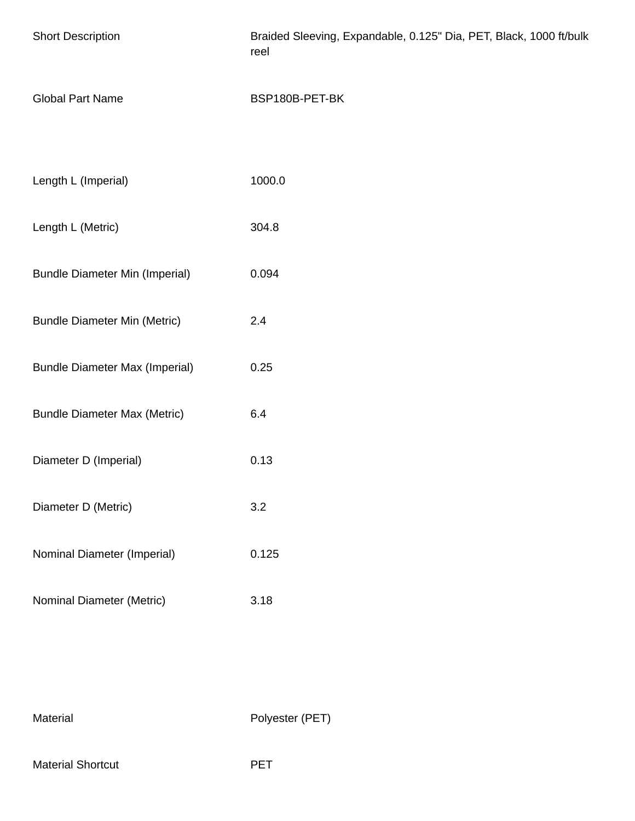| <b>Short Description</b>              | Braided Sleeving, Expandable, 0.125" Dia, PET, Black, 1000 ft/bulk<br>reel |  |  |  |
|---------------------------------------|----------------------------------------------------------------------------|--|--|--|
| <b>Global Part Name</b>               | BSP180B-PET-BK                                                             |  |  |  |
|                                       |                                                                            |  |  |  |
| Length L (Imperial)                   | 1000.0                                                                     |  |  |  |
| Length L (Metric)                     | 304.8                                                                      |  |  |  |
| <b>Bundle Diameter Min (Imperial)</b> | 0.094                                                                      |  |  |  |
| <b>Bundle Diameter Min (Metric)</b>   | 2.4                                                                        |  |  |  |
| <b>Bundle Diameter Max (Imperial)</b> | 0.25                                                                       |  |  |  |
| <b>Bundle Diameter Max (Metric)</b>   | 6.4                                                                        |  |  |  |
| Diameter D (Imperial)                 | 0.13                                                                       |  |  |  |
| Diameter D (Metric)                   | 3.2                                                                        |  |  |  |
| Nominal Diameter (Imperial)           | 0.125                                                                      |  |  |  |
| Nominal Diameter (Metric)             | 3.18                                                                       |  |  |  |

Material Polyester (PET)

Material Shortcut **PET**